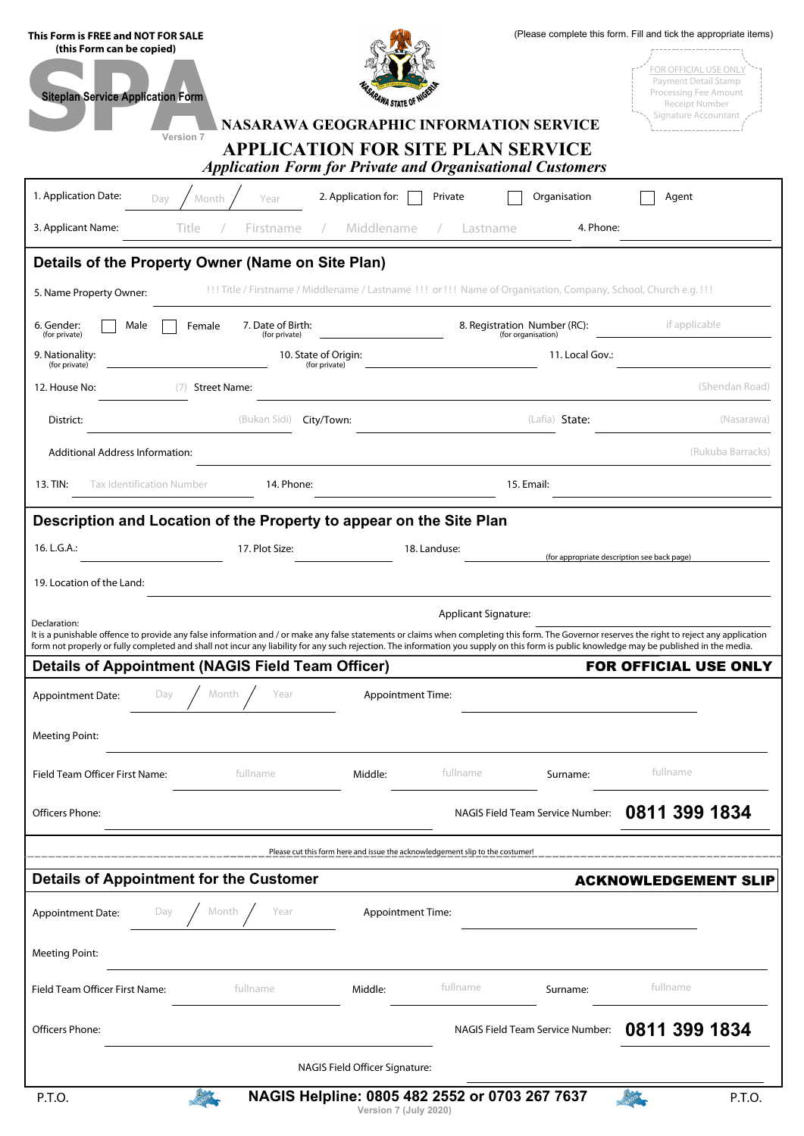| This Form is FREE and NOT FOR SALE<br>(this Form can be copied)                                                                                                                                                                                                                                                                                                                            |                                       |                                                | (Please complete this form. Fill and tick the appropriate items) |                                                                                      |                   |  |  |  |
|--------------------------------------------------------------------------------------------------------------------------------------------------------------------------------------------------------------------------------------------------------------------------------------------------------------------------------------------------------------------------------------------|---------------------------------------|------------------------------------------------|------------------------------------------------------------------|--------------------------------------------------------------------------------------|-------------------|--|--|--|
| <b>Siteplan Service Application Form</b>                                                                                                                                                                                                                                                                                                                                                   |                                       |                                                |                                                                  | <b>FOR OFFICIAL USE ONLY</b><br><b>Payment Detail Stamp</b><br>Processing Fee Amount |                   |  |  |  |
|                                                                                                                                                                                                                                                                                                                                                                                            | <i><b>RAWA STATE OF</b></i>           |                                                |                                                                  | Receipt Number<br>Signature Accountant                                               |                   |  |  |  |
| <b>NASARAWA GEOGRAPHIC INFORMATION SERVICE</b><br>Version 7<br><b>APPLICATION FOR SITE PLAN SERVICE</b><br><b>Application Form for Private and Organisational Customers</b>                                                                                                                                                                                                                |                                       |                                                |                                                                  |                                                                                      |                   |  |  |  |
| 1. Application Date:<br>Month<br>Year<br>Dav                                                                                                                                                                                                                                                                                                                                               | 2. Application for:                   | Private                                        | Organisation                                                     | Agent                                                                                |                   |  |  |  |
| 3. Applicant Name:<br>Title<br>Firstname                                                                                                                                                                                                                                                                                                                                                   | Middlename                            | Lastname                                       | 4. Phone:                                                        |                                                                                      |                   |  |  |  |
| Details of the Property Owner (Name on Site Plan)                                                                                                                                                                                                                                                                                                                                          |                                       |                                                |                                                                  |                                                                                      |                   |  |  |  |
| !!! Title / Firstname / Middlename / Lastname !!! or !!! Name of Organisation, Company, School, Church e.g. !!!<br>5. Name Property Owner:                                                                                                                                                                                                                                                 |                                       |                                                |                                                                  |                                                                                      |                   |  |  |  |
| Male<br>7. Date of Birth:<br>6. Gender:<br>Female<br>(for private)<br>(for private)                                                                                                                                                                                                                                                                                                        |                                       |                                                |                                                                  | if applicable<br>8. Registration Number (RC):<br>(for organisation)                  |                   |  |  |  |
| 9. Nationality:<br>(for private)                                                                                                                                                                                                                                                                                                                                                           | 10. State of Origin:<br>(for private) |                                                | 11. Local Gov.:                                                  |                                                                                      |                   |  |  |  |
| 12. House No:<br><b>Street Name:</b>                                                                                                                                                                                                                                                                                                                                                       |                                       |                                                |                                                                  |                                                                                      | (Shendan Road)    |  |  |  |
| (Bukan Sidi)<br>District:                                                                                                                                                                                                                                                                                                                                                                  | City/Town:                            |                                                | (Lafia) State:                                                   |                                                                                      | (Nasarawa)        |  |  |  |
| Additional Address Information:                                                                                                                                                                                                                                                                                                                                                            |                                       |                                                |                                                                  |                                                                                      | (Rukuba Barracks) |  |  |  |
| 13. TIN:<br>Tax Identification Number<br>14. Phone:                                                                                                                                                                                                                                                                                                                                        |                                       |                                                | 15. Email:                                                       |                                                                                      |                   |  |  |  |
| Description and Location of the Property to appear on the Site Plan                                                                                                                                                                                                                                                                                                                        |                                       |                                                |                                                                  |                                                                                      |                   |  |  |  |
| 16. L.G.A.:<br>17. Plot Size:                                                                                                                                                                                                                                                                                                                                                              |                                       | 18. Landuse:                                   |                                                                  | (for appropriate description see back page)                                          |                   |  |  |  |
| 19. Location of the Land:                                                                                                                                                                                                                                                                                                                                                                  |                                       |                                                |                                                                  |                                                                                      |                   |  |  |  |
| Declaration:                                                                                                                                                                                                                                                                                                                                                                               |                                       | <b>Applicant Signature:</b>                    |                                                                  |                                                                                      |                   |  |  |  |
| It is a punishable offence to provide any false information and / or make any false statements or claims when completing this form. The Governor reserves the right to reject any application<br>form not properly or fully completed and shall not incur any liability for any such rejection. The information you supply on this form is public knowledge may be published in the media. |                                       |                                                |                                                                  |                                                                                      |                   |  |  |  |
| <b>Details of Appointment (NAGIS Field Team Officer)</b>                                                                                                                                                                                                                                                                                                                                   |                                       |                                                |                                                                  | <b>FOR OFFICIAL USE ONLY</b>                                                         |                   |  |  |  |
| Month<br>Year<br>Day<br>Appointment Date:                                                                                                                                                                                                                                                                                                                                                  | <b>Appointment Time:</b>              |                                                |                                                                  |                                                                                      |                   |  |  |  |
| <b>Meeting Point:</b>                                                                                                                                                                                                                                                                                                                                                                      |                                       |                                                |                                                                  |                                                                                      |                   |  |  |  |
| Field Team Officer First Name:<br>fullname                                                                                                                                                                                                                                                                                                                                                 | Middle:                               | fullname                                       | Surname:                                                         | fullname                                                                             |                   |  |  |  |
| Officers Phone:                                                                                                                                                                                                                                                                                                                                                                            |                                       |                                                | NAGIS Field Team Service Number:                                 | 0811 399 1834                                                                        |                   |  |  |  |
| Please cut this form here and issue the acknowledgement slip to the costumer!                                                                                                                                                                                                                                                                                                              |                                       |                                                |                                                                  |                                                                                      |                   |  |  |  |
| <b>Details of Appointment for the Customer</b>                                                                                                                                                                                                                                                                                                                                             |                                       |                                                |                                                                  | <b>ACKNOWLEDGEMENT SLIP</b>                                                          |                   |  |  |  |
| Month<br>Year<br>Appointment Date:<br>Day                                                                                                                                                                                                                                                                                                                                                  | <b>Appointment Time:</b>              |                                                |                                                                  |                                                                                      |                   |  |  |  |
| <b>Meeting Point:</b>                                                                                                                                                                                                                                                                                                                                                                      |                                       |                                                |                                                                  |                                                                                      |                   |  |  |  |
| fullname<br>Field Team Officer First Name:                                                                                                                                                                                                                                                                                                                                                 | Middle:                               | fullname                                       | Surname:                                                         | fullname                                                                             |                   |  |  |  |
| Officers Phone:                                                                                                                                                                                                                                                                                                                                                                            |                                       |                                                | NAGIS Field Team Service Number:                                 | 0811 399 1834                                                                        |                   |  |  |  |
| NAGIS Field Officer Signature:                                                                                                                                                                                                                                                                                                                                                             |                                       |                                                |                                                                  |                                                                                      |                   |  |  |  |
| <b>A</b> GIB<br>P.T.O.                                                                                                                                                                                                                                                                                                                                                                     |                                       | NAGIS Helpline: 0805 482 2552 or 0703 267 7637 |                                                                  | <b>A</b> ole                                                                         | P.T.O.            |  |  |  |